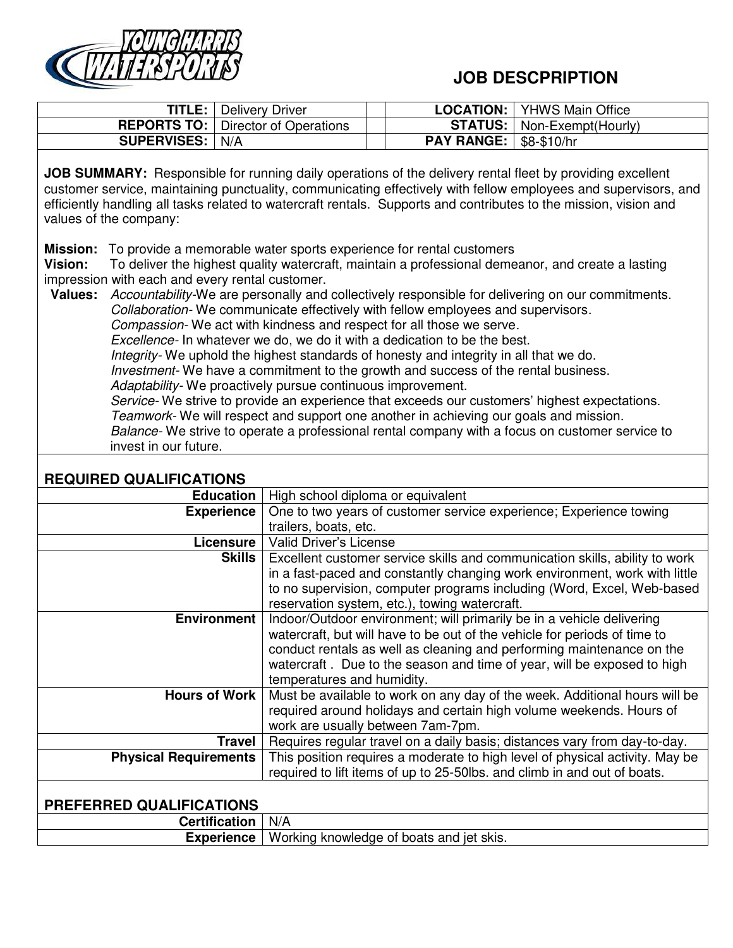

## **JOB DESCPRIPTION**

| TITLE:             | <b>Delivery Driver</b>                      | LOCATION:                       | <b>YHWS Main Office</b>             |
|--------------------|---------------------------------------------|---------------------------------|-------------------------------------|
|                    | <b>REPORTS TO:</b>   Director of Operations |                                 | <b>STATUS:</b>   Non-Exempt(Hourly) |
| <b>SUPERVISES:</b> | N/A                                         | <b>PAY RANGE:   \$8-\$10/hr</b> |                                     |
|                    |                                             |                                 |                                     |

**JOB SUMMARY:** Responsible for running daily operations of the delivery rental fleet by providing excellent customer service, maintaining punctuality, communicating effectively with fellow employees and supervisors, and efficiently handling all tasks related to watercraft rentals. Supports and contributes to the mission, vision and values of the company:

**Mission:** To provide a memorable water sports experience for rental customers

**Vision:** To deliver the highest quality watercraft, maintain a professional demeanor, and create a lasting impression with each and every rental customer.

**Values:** *Accountability-*We are personally and collectively responsible for delivering on our commitments. *Collaboration-* We communicate effectively with fellow employees and supervisors. *Compassion-* We act with kindness and respect for all those we serve*. Excellence-* In whatever we do, we do it with a dedication to be the best. *Integrity-* We uphold the highest standards of honesty and integrity in all that we do. *Investment-* We have a commitment to the growth and success of the rental business. *Adaptability-* We proactively pursue continuous improvement. *Service-* We strive to provide an experience that exceeds our customers' highest expectations. *Teamwork-* We will respect and support one another in achieving our goals and mission.

*Balance-* We strive to operate a professional rental company with a focus on customer service to invest in our future.

## **REQUIRED QUALIFICATIONS**

| Education                    | High school diploma or equivalent                                            |  |  |
|------------------------------|------------------------------------------------------------------------------|--|--|
| <b>Experience</b>            | One to two years of customer service experience; Experience towing           |  |  |
|                              | trailers, boats, etc.                                                        |  |  |
| Licensure                    | <b>Valid Driver's License</b>                                                |  |  |
| Skills                       | Excellent customer service skills and communication skills, ability to work  |  |  |
|                              | in a fast-paced and constantly changing work environment, work with little   |  |  |
|                              | to no supervision, computer programs including (Word, Excel, Web-based       |  |  |
|                              | reservation system, etc.), towing watercraft.                                |  |  |
| <b>Environment</b>           | Indoor/Outdoor environment; will primarily be in a vehicle delivering        |  |  |
|                              | watercraft, but will have to be out of the vehicle for periods of time to    |  |  |
|                              | conduct rentals as well as cleaning and performing maintenance on the        |  |  |
|                              | watercraft. Due to the season and time of year, will be exposed to high      |  |  |
|                              | temperatures and humidity.                                                   |  |  |
| Hours of Work                | Must be available to work on any day of the week. Additional hours will be   |  |  |
|                              | required around holidays and certain high volume weekends. Hours of          |  |  |
|                              | work are usually between 7am-7pm.                                            |  |  |
| <b>Travel</b>                | Requires regular travel on a daily basis; distances vary from day-to-day.    |  |  |
| <b>Physical Requirements</b> | This position requires a moderate to high level of physical activity. May be |  |  |
|                              | required to lift items of up to 25-50lbs. and climb in and out of boats.     |  |  |
|                              |                                                                              |  |  |
| PREFERRED QUALIFICATIONS     |                                                                              |  |  |

| ויורי                                                  | N/A |  |  |
|--------------------------------------------------------|-----|--|--|
| Working knowledge of boats and jet skis.<br>Experience |     |  |  |